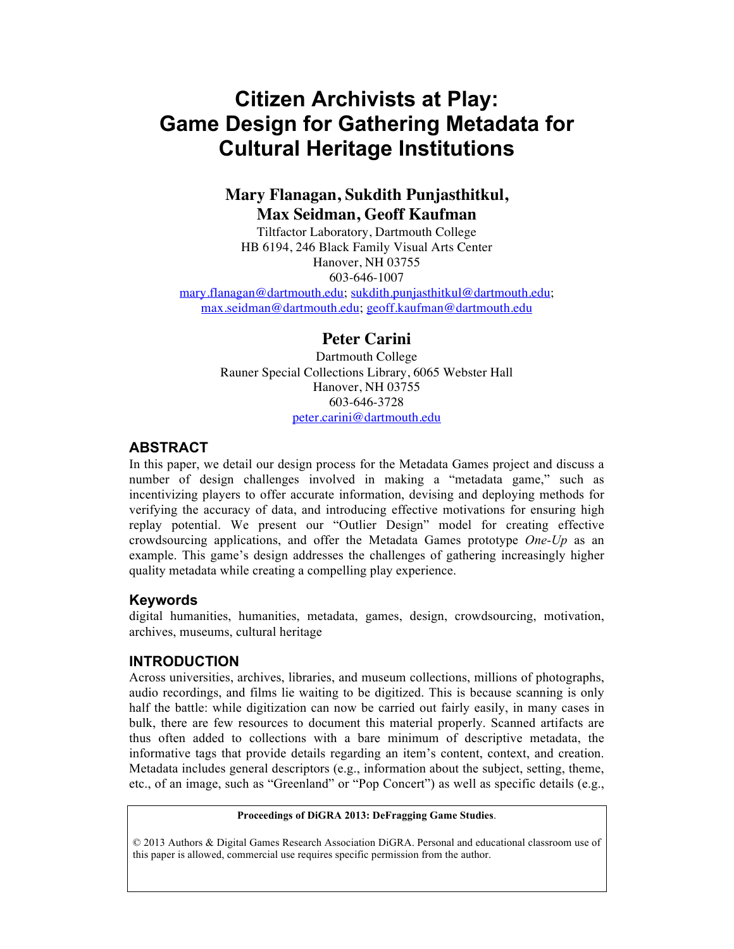# **Citizen Archivists at Play: Game Design for Gathering Metadata for Cultural Heritage Institutions**

# **Mary Flanagan, Sukdith Punjasthitkul, Max Seidman, Geoff Kaufman**

Tiltfactor Laboratory, Dartmouth College HB 6194, 246 Black Family Visual Arts Center Hanover, NH 03755 603-646-1007

mary.flanagan@dartmouth.edu; sukdith.punjasthitkul@dartmouth.edu; max.seidman@dartmouth.edu; geoff.kaufman@dartmouth.edu

### **Peter Carini**

Dartmouth College Rauner Special Collections Library, 6065 Webster Hall Hanover, NH 03755 603-646-3728 peter.carini@dartmouth.edu

#### **ABSTRACT**

In this paper, we detail our design process for the Metadata Games project and discuss a number of design challenges involved in making a "metadata game," such as incentivizing players to offer accurate information, devising and deploying methods for verifying the accuracy of data, and introducing effective motivations for ensuring high replay potential. We present our "Outlier Design" model for creating effective crowdsourcing applications, and offer the Metadata Games prototype *One-Up* as an example. This game's design addresses the challenges of gathering increasingly higher quality metadata while creating a compelling play experience.

#### **Keywords**

digital humanities, humanities, metadata, games, design, crowdsourcing, motivation, archives, museums, cultural heritage

#### **INTRODUCTION**

Across universities, archives, libraries, and museum collections, millions of photographs, audio recordings, and films lie waiting to be digitized. This is because scanning is only half the battle: while digitization can now be carried out fairly easily, in many cases in bulk, there are few resources to document this material properly. Scanned artifacts are thus often added to collections with a bare minimum of descriptive metadata, the informative tags that provide details regarding an item's content, context, and creation. Metadata includes general descriptors (e.g., information about the subject, setting, theme, etc., of an image, such as "Greenland" or "Pop Concert") as well as specific details (e.g.,

#### **Proceedings of DiGRA 2013: DeFragging Game Studies**.

© 2013 Authors & Digital Games Research Association DiGRA. Personal and educational classroom use of this paper is allowed, commercial use requires specific permission from the author.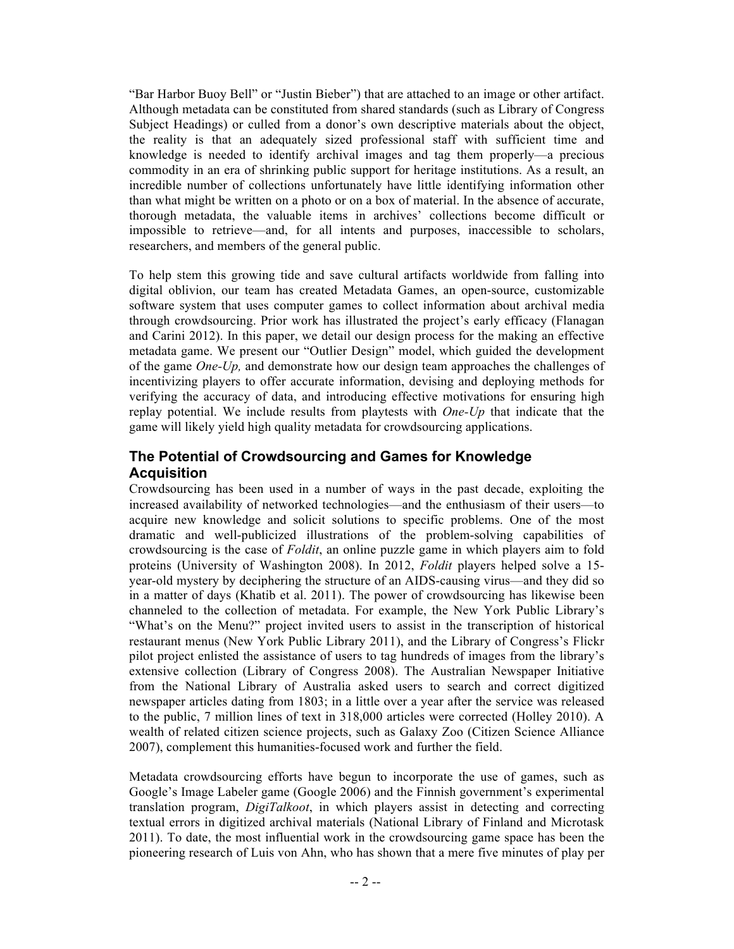"Bar Harbor Buoy Bell" or "Justin Bieber") that are attached to an image or other artifact. Although metadata can be constituted from shared standards (such as Library of Congress Subject Headings) or culled from a donor's own descriptive materials about the object, the reality is that an adequately sized professional staff with sufficient time and knowledge is needed to identify archival images and tag them properly—a precious commodity in an era of shrinking public support for heritage institutions. As a result, an incredible number of collections unfortunately have little identifying information other than what might be written on a photo or on a box of material. In the absence of accurate, thorough metadata, the valuable items in archives' collections become difficult or impossible to retrieve—and, for all intents and purposes, inaccessible to scholars, researchers, and members of the general public.

To help stem this growing tide and save cultural artifacts worldwide from falling into digital oblivion, our team has created Metadata Games, an open-source, customizable software system that uses computer games to collect information about archival media through crowdsourcing. Prior work has illustrated the project's early efficacy (Flanagan and Carini 2012). In this paper, we detail our design process for the making an effective metadata game. We present our "Outlier Design" model, which guided the development of the game *One-Up,* and demonstrate how our design team approaches the challenges of incentivizing players to offer accurate information, devising and deploying methods for verifying the accuracy of data, and introducing effective motivations for ensuring high replay potential. We include results from playtests with *One-Up* that indicate that the game will likely yield high quality metadata for crowdsourcing applications.

### **The Potential of Crowdsourcing and Games for Knowledge Acquisition**

Crowdsourcing has been used in a number of ways in the past decade, exploiting the increased availability of networked technologies—and the enthusiasm of their users—to acquire new knowledge and solicit solutions to specific problems. One of the most dramatic and well-publicized illustrations of the problem-solving capabilities of crowdsourcing is the case of *Foldit*, an online puzzle game in which players aim to fold proteins (University of Washington 2008). In 2012, *Foldit* players helped solve a 15 year-old mystery by deciphering the structure of an AIDS-causing virus—and they did so in a matter of days (Khatib et al. 2011). The power of crowdsourcing has likewise been channeled to the collection of metadata. For example, the New York Public Library's "What's on the Menu?" project invited users to assist in the transcription of historical restaurant menus (New York Public Library 2011), and the Library of Congress's Flickr pilot project enlisted the assistance of users to tag hundreds of images from the library's extensive collection (Library of Congress 2008). The Australian Newspaper Initiative from the National Library of Australia asked users to search and correct digitized newspaper articles dating from 1803; in a little over a year after the service was released to the public, 7 million lines of text in 318,000 articles were corrected (Holley 2010). A wealth of related citizen science projects, such as Galaxy Zoo (Citizen Science Alliance 2007), complement this humanities-focused work and further the field.

Metadata crowdsourcing efforts have begun to incorporate the use of games, such as Google's Image Labeler game (Google 2006) and the Finnish government's experimental translation program, *DigiTalkoot*, in which players assist in detecting and correcting textual errors in digitized archival materials (National Library of Finland and Microtask 2011). To date, the most influential work in the crowdsourcing game space has been the pioneering research of Luis von Ahn, who has shown that a mere five minutes of play per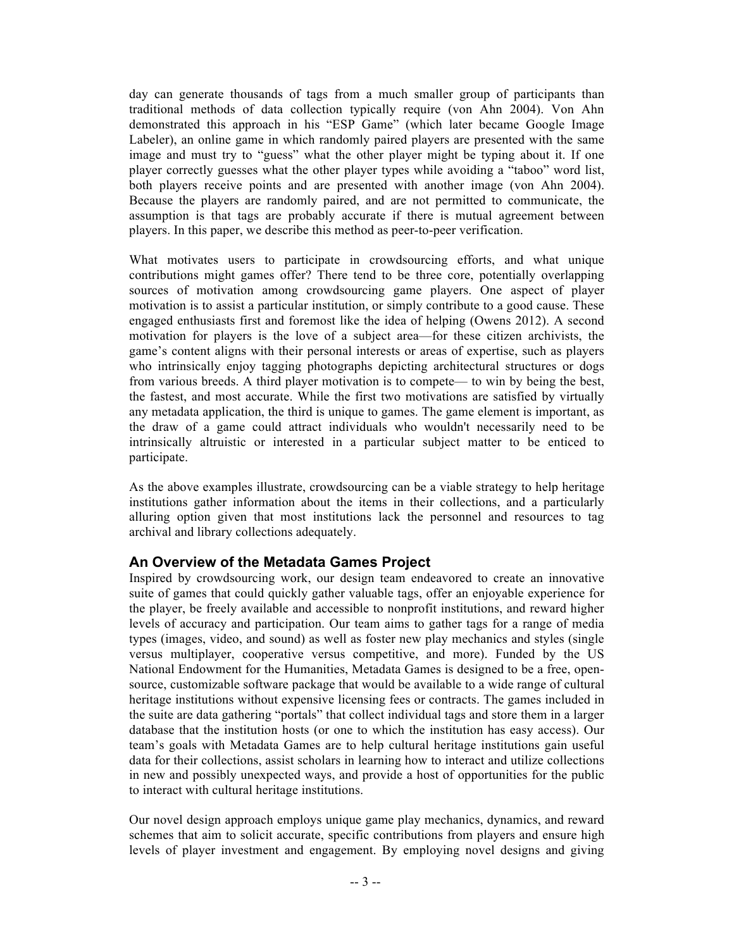day can generate thousands of tags from a much smaller group of participants than traditional methods of data collection typically require (von Ahn 2004). Von Ahn demonstrated this approach in his "ESP Game" (which later became Google Image Labeler), an online game in which randomly paired players are presented with the same image and must try to "guess" what the other player might be typing about it. If one player correctly guesses what the other player types while avoiding a "taboo" word list, both players receive points and are presented with another image (von Ahn 2004). Because the players are randomly paired, and are not permitted to communicate, the assumption is that tags are probably accurate if there is mutual agreement between players. In this paper, we describe this method as peer-to-peer verification.

What motivates users to participate in crowdsourcing efforts, and what unique contributions might games offer? There tend to be three core, potentially overlapping sources of motivation among crowdsourcing game players. One aspect of player motivation is to assist a particular institution, or simply contribute to a good cause. These engaged enthusiasts first and foremost like the idea of helping (Owens 2012). A second motivation for players is the love of a subject area—for these citizen archivists, the game's content aligns with their personal interests or areas of expertise, such as players who intrinsically enjoy tagging photographs depicting architectural structures or dogs from various breeds. A third player motivation is to compete— to win by being the best, the fastest, and most accurate. While the first two motivations are satisfied by virtually any metadata application, the third is unique to games. The game element is important, as the draw of a game could attract individuals who wouldn't necessarily need to be intrinsically altruistic or interested in a particular subject matter to be enticed to participate.

As the above examples illustrate, crowdsourcing can be a viable strategy to help heritage institutions gather information about the items in their collections, and a particularly alluring option given that most institutions lack the personnel and resources to tag archival and library collections adequately.

### **An Overview of the Metadata Games Project**

Inspired by crowdsourcing work, our design team endeavored to create an innovative suite of games that could quickly gather valuable tags, offer an enjoyable experience for the player, be freely available and accessible to nonprofit institutions, and reward higher levels of accuracy and participation. Our team aims to gather tags for a range of media types (images, video, and sound) as well as foster new play mechanics and styles (single versus multiplayer, cooperative versus competitive, and more). Funded by the US National Endowment for the Humanities, Metadata Games is designed to be a free, opensource, customizable software package that would be available to a wide range of cultural heritage institutions without expensive licensing fees or contracts. The games included in the suite are data gathering "portals" that collect individual tags and store them in a larger database that the institution hosts (or one to which the institution has easy access). Our team's goals with Metadata Games are to help cultural heritage institutions gain useful data for their collections, assist scholars in learning how to interact and utilize collections in new and possibly unexpected ways, and provide a host of opportunities for the public to interact with cultural heritage institutions.

Our novel design approach employs unique game play mechanics, dynamics, and reward schemes that aim to solicit accurate, specific contributions from players and ensure high levels of player investment and engagement. By employing novel designs and giving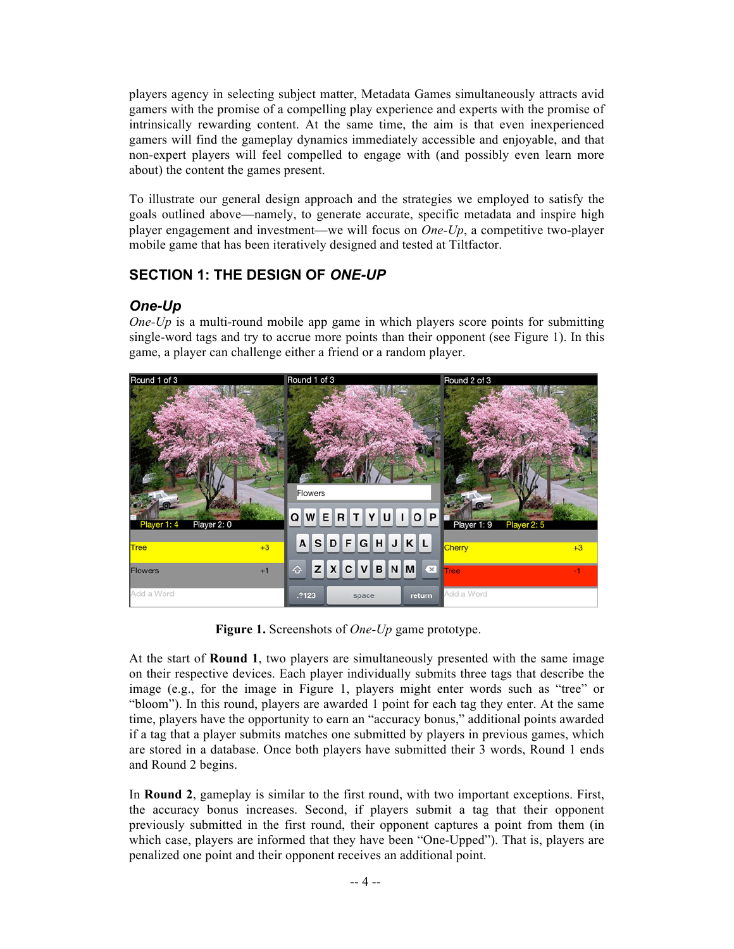players agency in selecting subject matter, Metadata Games simultaneously attracts avid gamers with the promise of a compelling play experience and experts with the promise of intrinsically rewarding content. At the same time, the aim is that even inexperienced gamers will find the gameplay dynamics immediately accessible and enjoyable, and that non-expert players will feel compelled to engage with (and possibly even learn more about) the content the games present.

To illustrate our general design approach and the strategies we employed to satisfy the goals outlined above—namely, to generate accurate, specific metadata and inspire high player engagement and investment—we will focus on *One-Up*, a competitive two-player mobile game that has been iteratively designed and tested at Tiltfactor.

# **SECTION 1: THE DESIGN OF** *ONE-UP*

# *One-Up*

*One-Up* is a multi-round mobile app game in which players score points for submitting single-word tags and try to accrue more points than their opponent (see Figure 1). In this game, a player can challenge either a friend or a random player.



**Figure 1.** Screenshots of *One-Up* game prototype.

At the start of **Round 1**, two players are simultaneously presented with the same image on their respective devices. Each player individually submits three tags that describe the image (e.g., for the image in Figure 1, players might enter words such as "tree" or "bloom"). In this round, players are awarded 1 point for each tag they enter. At the same time, players have the opportunity to earn an "accuracy bonus," additional points awarded if a tag that a player submits matches one submitted by players in previous games, which are stored in a database. Once both players have submitted their 3 words, Round 1 ends and Round 2 begins.

In **Round 2**, gameplay is similar to the first round, with two important exceptions. First, the accuracy bonus increases. Second, if players submit a tag that their opponent previously submitted in the first round, their opponent captures a point from them (in which case, players are informed that they have been "One-Upped"). That is, players are penalized one point and their opponent receives an additional point.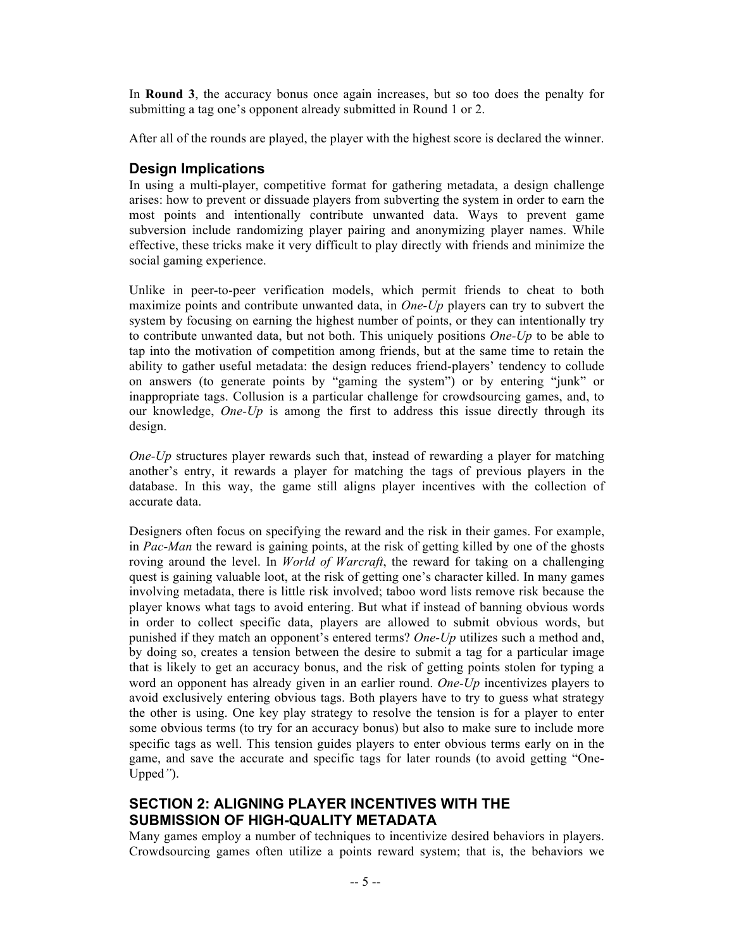In **Round 3**, the accuracy bonus once again increases, but so too does the penalty for submitting a tag one's opponent already submitted in Round 1 or 2.

After all of the rounds are played, the player with the highest score is declared the winner.

#### **Design Implications**

In using a multi-player, competitive format for gathering metadata, a design challenge arises: how to prevent or dissuade players from subverting the system in order to earn the most points and intentionally contribute unwanted data. Ways to prevent game subversion include randomizing player pairing and anonymizing player names. While effective, these tricks make it very difficult to play directly with friends and minimize the social gaming experience.

Unlike in peer-to-peer verification models, which permit friends to cheat to both maximize points and contribute unwanted data, in *One-Up* players can try to subvert the system by focusing on earning the highest number of points, or they can intentionally try to contribute unwanted data, but not both. This uniquely positions *One-Up* to be able to tap into the motivation of competition among friends, but at the same time to retain the ability to gather useful metadata: the design reduces friend-players' tendency to collude on answers (to generate points by "gaming the system") or by entering "junk" or inappropriate tags. Collusion is a particular challenge for crowdsourcing games, and, to our knowledge, *One-Up* is among the first to address this issue directly through its design.

*One-Up* structures player rewards such that, instead of rewarding a player for matching another's entry, it rewards a player for matching the tags of previous players in the database. In this way, the game still aligns player incentives with the collection of accurate data.

Designers often focus on specifying the reward and the risk in their games. For example, in *Pac-Man* the reward is gaining points, at the risk of getting killed by one of the ghosts roving around the level. In *World of Warcraft*, the reward for taking on a challenging quest is gaining valuable loot, at the risk of getting one's character killed. In many games involving metadata, there is little risk involved; taboo word lists remove risk because the player knows what tags to avoid entering. But what if instead of banning obvious words in order to collect specific data, players are allowed to submit obvious words, but punished if they match an opponent's entered terms? *One-Up* utilizes such a method and, by doing so, creates a tension between the desire to submit a tag for a particular image that is likely to get an accuracy bonus, and the risk of getting points stolen for typing a word an opponent has already given in an earlier round. *One-Up* incentivizes players to avoid exclusively entering obvious tags. Both players have to try to guess what strategy the other is using. One key play strategy to resolve the tension is for a player to enter some obvious terms (to try for an accuracy bonus) but also to make sure to include more specific tags as well. This tension guides players to enter obvious terms early on in the game, and save the accurate and specific tags for later rounds (to avoid getting "One-Upped*"*).

### **SECTION 2: ALIGNING PLAYER INCENTIVES WITH THE SUBMISSION OF HIGH-QUALITY METADATA**

Many games employ a number of techniques to incentivize desired behaviors in players. Crowdsourcing games often utilize a points reward system; that is, the behaviors we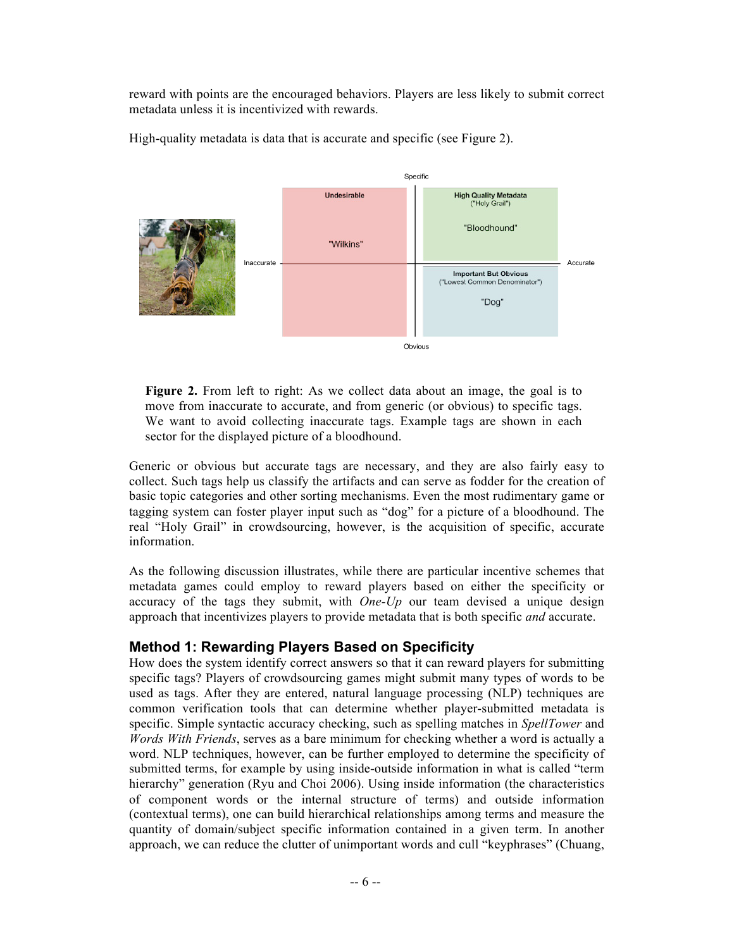reward with points are the encouraged behaviors. Players are less likely to submit correct metadata unless it is incentivized with rewards.



High-quality metadata is data that is accurate and specific (see Figure 2).

**Figure 2.** From left to right: As we collect data about an image, the goal is to move from inaccurate to accurate, and from generic (or obvious) to specific tags. We want to avoid collecting inaccurate tags. Example tags are shown in each sector for the displayed picture of a bloodhound.

Generic or obvious but accurate tags are necessary, and they are also fairly easy to collect. Such tags help us classify the artifacts and can serve as fodder for the creation of basic topic categories and other sorting mechanisms. Even the most rudimentary game or tagging system can foster player input such as "dog" for a picture of a bloodhound. The real "Holy Grail" in crowdsourcing, however, is the acquisition of specific, accurate information.

As the following discussion illustrates, while there are particular incentive schemes that metadata games could employ to reward players based on either the specificity or accuracy of the tags they submit, with *One-Up* our team devised a unique design approach that incentivizes players to provide metadata that is both specific *and* accurate.

### **Method 1: Rewarding Players Based on Specificity**

How does the system identify correct answers so that it can reward players for submitting specific tags? Players of crowdsourcing games might submit many types of words to be used as tags. After they are entered, natural language processing (NLP) techniques are common verification tools that can determine whether player-submitted metadata is specific. Simple syntactic accuracy checking, such as spelling matches in *SpellTower* and *Words With Friends*, serves as a bare minimum for checking whether a word is actually a word. NLP techniques, however, can be further employed to determine the specificity of submitted terms, for example by using inside-outside information in what is called "term hierarchy" generation (Ryu and Choi 2006). Using inside information (the characteristics of component words or the internal structure of terms) and outside information (contextual terms), one can build hierarchical relationships among terms and measure the quantity of domain/subject specific information contained in a given term. In another approach, we can reduce the clutter of unimportant words and cull "keyphrases" (Chuang,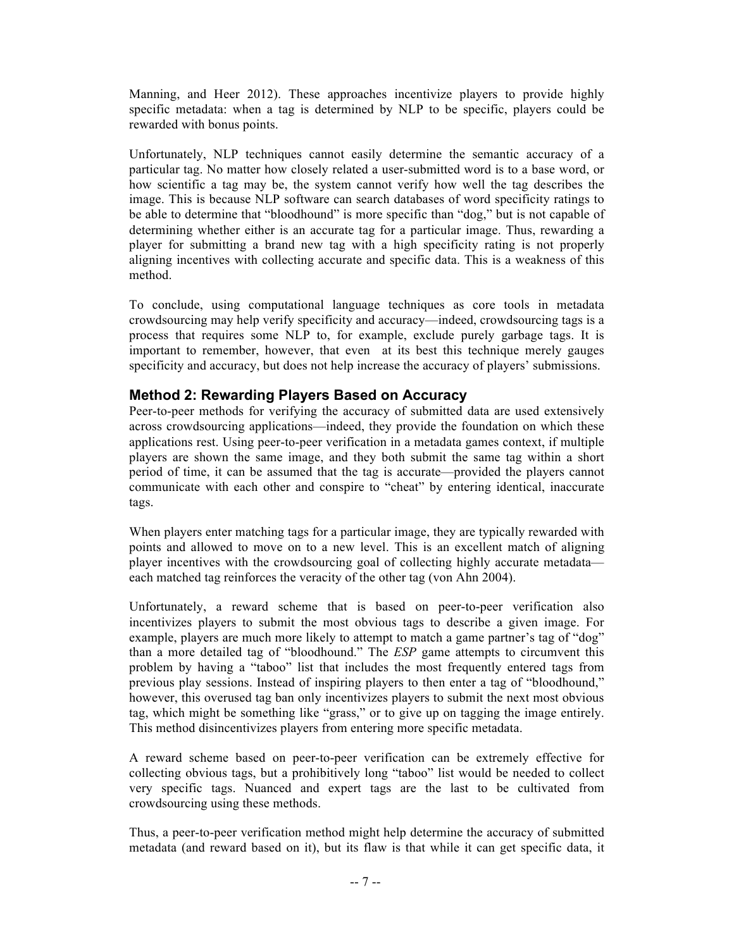Manning, and Heer 2012). These approaches incentivize players to provide highly specific metadata: when a tag is determined by NLP to be specific, players could be rewarded with bonus points.

Unfortunately, NLP techniques cannot easily determine the semantic accuracy of a particular tag. No matter how closely related a user-submitted word is to a base word, or how scientific a tag may be, the system cannot verify how well the tag describes the image. This is because NLP software can search databases of word specificity ratings to be able to determine that "bloodhound" is more specific than "dog," but is not capable of determining whether either is an accurate tag for a particular image. Thus, rewarding a player for submitting a brand new tag with a high specificity rating is not properly aligning incentives with collecting accurate and specific data. This is a weakness of this method.

To conclude, using computational language techniques as core tools in metadata crowdsourcing may help verify specificity and accuracy—indeed, crowdsourcing tags is a process that requires some NLP to, for example, exclude purely garbage tags. It is important to remember, however, that even at its best this technique merely gauges specificity and accuracy, but does not help increase the accuracy of players' submissions.

## **Method 2: Rewarding Players Based on Accuracy**

Peer-to-peer methods for verifying the accuracy of submitted data are used extensively across crowdsourcing applications—indeed, they provide the foundation on which these applications rest. Using peer-to-peer verification in a metadata games context, if multiple players are shown the same image, and they both submit the same tag within a short period of time, it can be assumed that the tag is accurate—provided the players cannot communicate with each other and conspire to "cheat" by entering identical, inaccurate tags.

When players enter matching tags for a particular image, they are typically rewarded with points and allowed to move on to a new level. This is an excellent match of aligning player incentives with the crowdsourcing goal of collecting highly accurate metadata each matched tag reinforces the veracity of the other tag (von Ahn 2004).

Unfortunately, a reward scheme that is based on peer-to-peer verification also incentivizes players to submit the most obvious tags to describe a given image. For example, players are much more likely to attempt to match a game partner's tag of "dog" than a more detailed tag of "bloodhound." The *ESP* game attempts to circumvent this problem by having a "taboo" list that includes the most frequently entered tags from previous play sessions. Instead of inspiring players to then enter a tag of "bloodhound," however, this overused tag ban only incentivizes players to submit the next most obvious tag, which might be something like "grass," or to give up on tagging the image entirely. This method disincentivizes players from entering more specific metadata.

A reward scheme based on peer-to-peer verification can be extremely effective for collecting obvious tags, but a prohibitively long "taboo" list would be needed to collect very specific tags. Nuanced and expert tags are the last to be cultivated from crowdsourcing using these methods.

Thus, a peer-to-peer verification method might help determine the accuracy of submitted metadata (and reward based on it), but its flaw is that while it can get specific data, it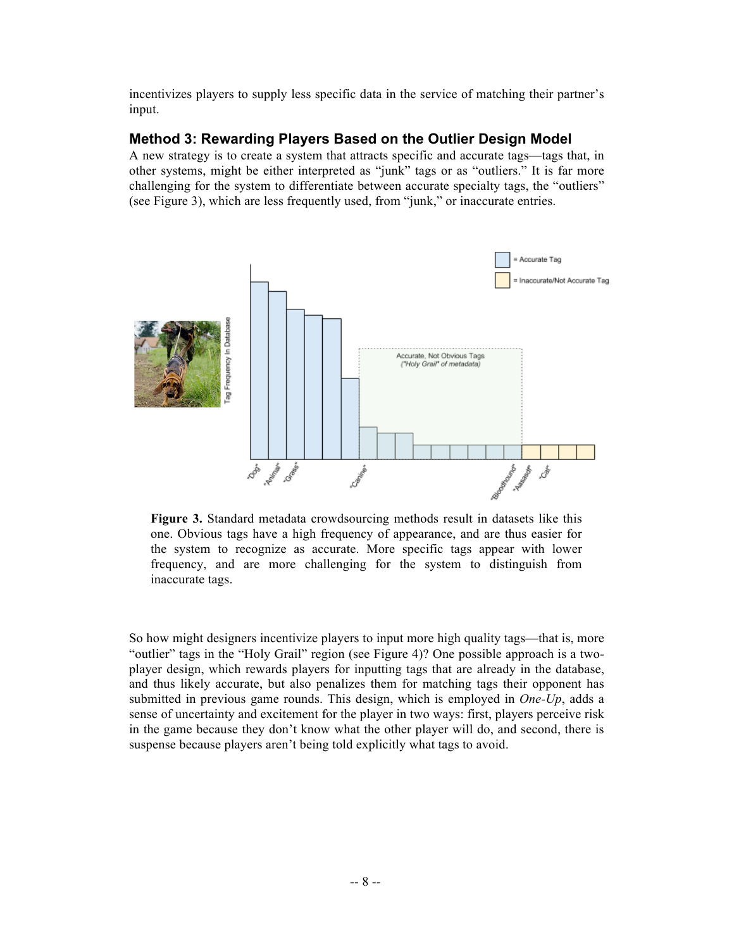incentivizes players to supply less specific data in the service of matching their partner's input.

#### **Method 3: Rewarding Players Based on the Outlier Design Model**

A new strategy is to create a system that attracts specific and accurate tags—tags that, in other systems, might be either interpreted as "junk" tags or as "outliers." It is far more challenging for the system to differentiate between accurate specialty tags, the "outliers" (see Figure 3), which are less frequently used, from "junk," or inaccurate entries.



**Figure 3.** Standard metadata crowdsourcing methods result in datasets like this one. Obvious tags have a high frequency of appearance, and are thus easier for the system to recognize as accurate. More specific tags appear with lower frequency, and are more challenging for the system to distinguish from inaccurate tags.

So how might designers incentivize players to input more high quality tags—that is, more "outlier" tags in the "Holy Grail" region (see Figure 4)? One possible approach is a twoplayer design, which rewards players for inputting tags that are already in the database, and thus likely accurate, but also penalizes them for matching tags their opponent has submitted in previous game rounds. This design, which is employed in *One-Up*, adds a sense of uncertainty and excitement for the player in two ways: first, players perceive risk in the game because they don't know what the other player will do, and second, there is suspense because players aren't being told explicitly what tags to avoid.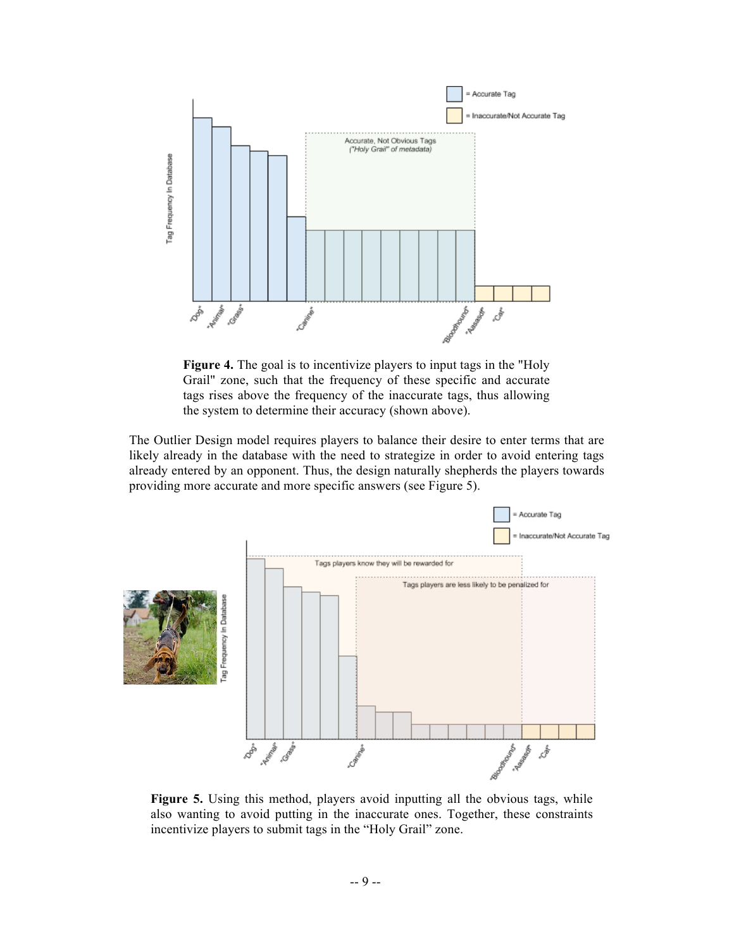

**Figure 4.** The goal is to incentivize players to input tags in the "Holy Grail" zone, such that the frequency of these specific and accurate tags rises above the frequency of the inaccurate tags, thus allowing the system to determine their accuracy (shown above).

The Outlier Design model requires players to balance their desire to enter terms that are likely already in the database with the need to strategize in order to avoid entering tags already entered by an opponent. Thus, the design naturally shepherds the players towards providing more accurate and more specific answers (see Figure 5).



**Figure 5.** Using this method, players avoid inputting all the obvious tags, while also wanting to avoid putting in the inaccurate ones. Together, these constraints incentivize players to submit tags in the "Holy Grail" zone.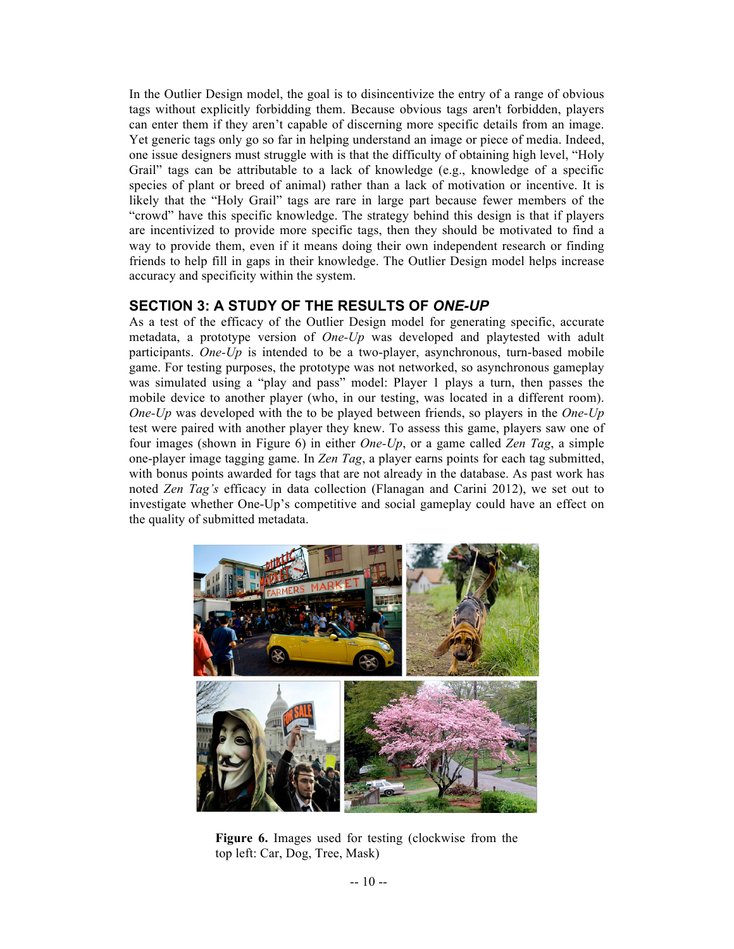In the Outlier Design model, the goal is to disincentivize the entry of a range of obvious tags without explicitly forbidding them. Because obvious tags aren't forbidden, players can enter them if they aren't capable of discerning more specific details from an image. Yet generic tags only go so far in helping understand an image or piece of media. Indeed, one issue designers must struggle with is that the difficulty of obtaining high level, "Holy Grail" tags can be attributable to a lack of knowledge (e.g., knowledge of a specific species of plant or breed of animal) rather than a lack of motivation or incentive. It is likely that the "Holy Grail" tags are rare in large part because fewer members of the "crowd" have this specific knowledge. The strategy behind this design is that if players are incentivized to provide more specific tags, then they should be motivated to find a way to provide them, even if it means doing their own independent research or finding friends to help fill in gaps in their knowledge. The Outlier Design model helps increase accuracy and specificity within the system.

#### **SECTION 3: A STUDY OF THE RESULTS OF** *ONE-UP*

As a test of the efficacy of the Outlier Design model for generating specific, accurate metadata, a prototype version of *One-Up* was developed and playtested with adult participants. *One-Up* is intended to be a two-player, asynchronous, turn-based mobile game. For testing purposes, the prototype was not networked, so asynchronous gameplay was simulated using a "play and pass" model: Player 1 plays a turn, then passes the mobile device to another player (who, in our testing, was located in a different room). *One-Up* was developed with the to be played between friends, so players in the *One-Up* test were paired with another player they knew. To assess this game, players saw one of four images (shown in Figure 6) in either *One-Up*, or a game called *Zen Tag*, a simple one-player image tagging game. In *Zen Tag*, a player earns points for each tag submitted, with bonus points awarded for tags that are not already in the database. As past work has noted *Zen Tag's* efficacy in data collection (Flanagan and Carini 2012), we set out to investigate whether One-Up's competitive and social gameplay could have an effect on the quality of submitted metadata.



**Figure 6.** Images used for testing (clockwise from the top left: Car, Dog, Tree, Mask)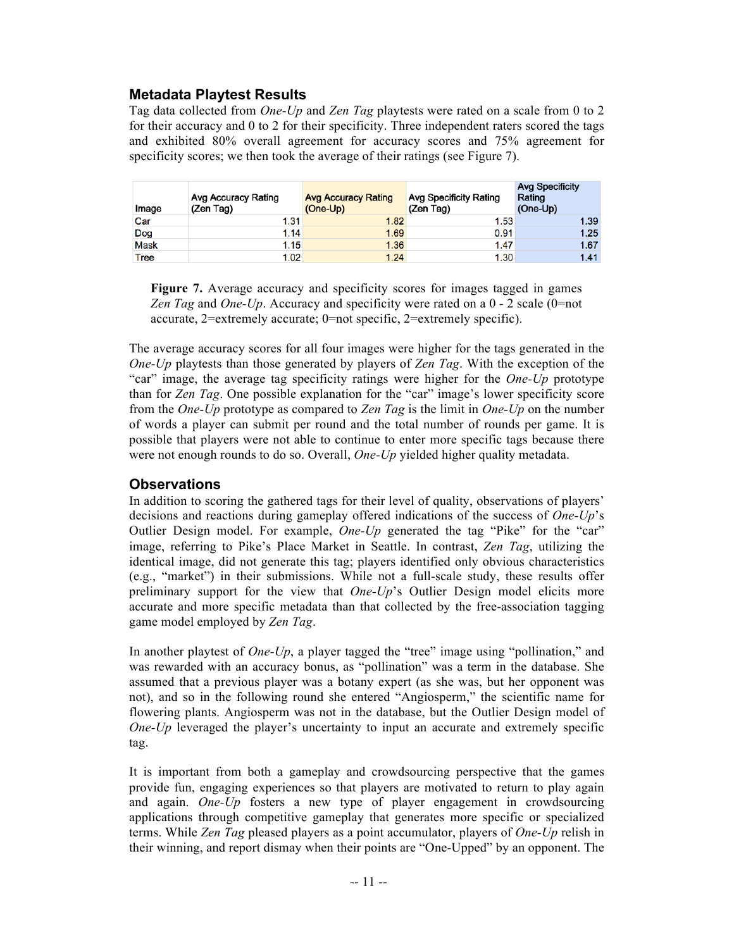#### **Metadata Playtest Results**

Tag data collected from *One-Up* and *Zen Tag* playtests were rated on a scale from 0 to 2 for their accuracy and 0 to 2 for their specificity. Three independent raters scored the tags and exhibited 80% overall agreement for accuracy scores and 75% agreement for specificity scores; we then took the average of their ratings (see Figure 7).

| Image       | Avg Accuracy Rating<br>(Zen Tag) | <b>Avg Accuracy Rating</b><br>(One-Up) | Avg Specificity Rating<br>(Zen Tag) | <b>Avg Specificity</b><br>Rating<br>(One-Up) |
|-------------|----------------------------------|----------------------------------------|-------------------------------------|----------------------------------------------|
| Car         | 1.31                             | 1.82                                   | 1.53                                | 1.39                                         |
| Dog         | 1.14                             | 1.69                                   | 0.91                                | 1.25                                         |
| <b>Mask</b> | 1.15                             | 1.36                                   | 1.47                                | 1.67                                         |
| Tree        | 1.02                             | 1.24                                   | 1.30                                | 1.41                                         |

**Figure 7.** Average accuracy and specificity scores for images tagged in games *Zen Tag* and *One-Up*. Accuracy and specificity were rated on a 0 - 2 scale (0=not accurate, 2=extremely accurate; 0=not specific, 2=extremely specific).

The average accuracy scores for all four images were higher for the tags generated in the *One-Up* playtests than those generated by players of *Zen Tag*. With the exception of the "car" image, the average tag specificity ratings were higher for the *One-Up* prototype than for *Zen Tag*. One possible explanation for the "car" image's lower specificity score from the *One-Up* prototype as compared to *Zen Tag* is the limit in *One-Up* on the number of words a player can submit per round and the total number of rounds per game. It is possible that players were not able to continue to enter more specific tags because there were not enough rounds to do so. Overall, *One-Up* yielded higher quality metadata.

#### **Observations**

In addition to scoring the gathered tags for their level of quality, observations of players' decisions and reactions during gameplay offered indications of the success of *One-Up*'s Outlier Design model. For example, *One-Up* generated the tag "Pike" for the "car" image, referring to Pike's Place Market in Seattle. In contrast, *Zen Tag*, utilizing the identical image, did not generate this tag; players identified only obvious characteristics (e.g., "market") in their submissions. While not a full-scale study, these results offer preliminary support for the view that *One-Up*'s Outlier Design model elicits more accurate and more specific metadata than that collected by the free-association tagging game model employed by *Zen Tag*.

In another playtest of *One-Up*, a player tagged the "tree" image using "pollination," and was rewarded with an accuracy bonus, as "pollination" was a term in the database. She assumed that a previous player was a botany expert (as she was, but her opponent was not), and so in the following round she entered "Angiosperm," the scientific name for flowering plants. Angiosperm was not in the database, but the Outlier Design model of *One-Up* leveraged the player's uncertainty to input an accurate and extremely specific tag.

It is important from both a gameplay and crowdsourcing perspective that the games provide fun, engaging experiences so that players are motivated to return to play again and again. *One-Up* fosters a new type of player engagement in crowdsourcing applications through competitive gameplay that generates more specific or specialized terms. While *Zen Tag* pleased players as a point accumulator, players of *One-Up* relish in their winning, and report dismay when their points are "One-Upped" by an opponent. The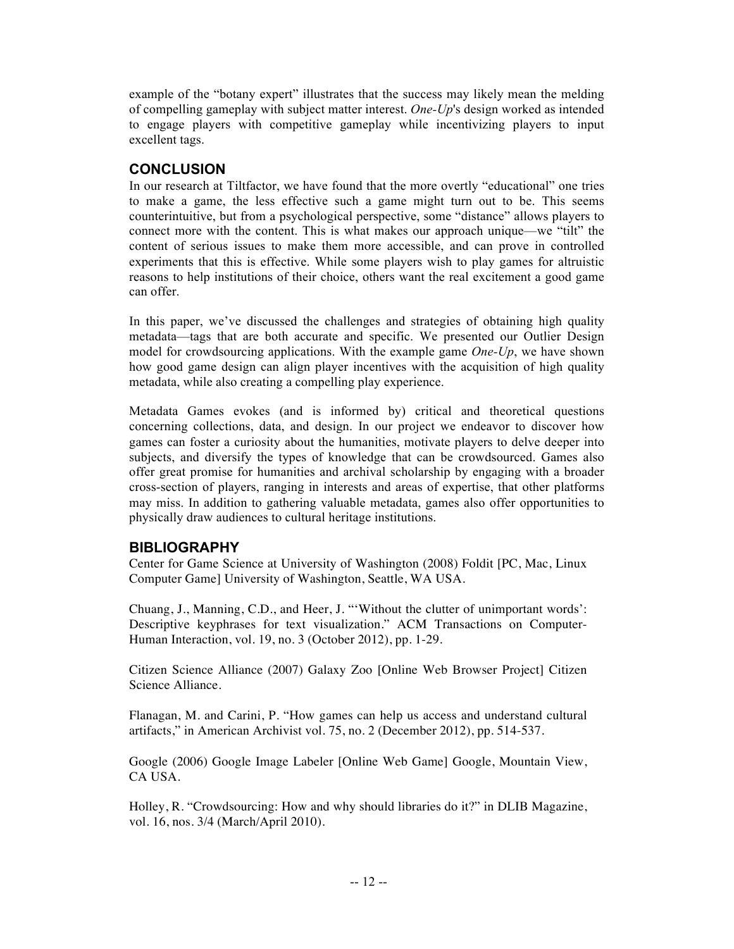example of the "botany expert" illustrates that the success may likely mean the melding of compelling gameplay with subject matter interest. *One-Up*'s design worked as intended to engage players with competitive gameplay while incentivizing players to input excellent tags.

#### **CONCLUSION**

In our research at Tiltfactor, we have found that the more overtly "educational" one tries to make a game, the less effective such a game might turn out to be. This seems counterintuitive, but from a psychological perspective, some "distance" allows players to connect more with the content. This is what makes our approach unique—we "tilt" the content of serious issues to make them more accessible, and can prove in controlled experiments that this is effective. While some players wish to play games for altruistic reasons to help institutions of their choice, others want the real excitement a good game can offer.

In this paper, we've discussed the challenges and strategies of obtaining high quality metadata—tags that are both accurate and specific. We presented our Outlier Design model for crowdsourcing applications. With the example game *One-Up*, we have shown how good game design can align player incentives with the acquisition of high quality metadata, while also creating a compelling play experience.

Metadata Games evokes (and is informed by) critical and theoretical questions concerning collections, data, and design. In our project we endeavor to discover how games can foster a curiosity about the humanities, motivate players to delve deeper into subjects, and diversify the types of knowledge that can be crowdsourced. Games also offer great promise for humanities and archival scholarship by engaging with a broader cross-section of players, ranging in interests and areas of expertise, that other platforms may miss. In addition to gathering valuable metadata, games also offer opportunities to physically draw audiences to cultural heritage institutions.

### **BIBLIOGRAPHY**

Center for Game Science at University of Washington (2008) Foldit [PC, Mac, Linux Computer Game] University of Washington, Seattle, WA USA.

Chuang, J., Manning, C.D., and Heer, J. "'Without the clutter of unimportant words': Descriptive keyphrases for text visualization." ACM Transactions on Computer-Human Interaction, vol. 19, no. 3 (October 2012), pp. 1-29.

Citizen Science Alliance (2007) Galaxy Zoo [Online Web Browser Project] Citizen Science Alliance.

Flanagan, M. and Carini, P. "How games can help us access and understand cultural artifacts," in American Archivist vol. 75, no. 2 (December 2012), pp. 514-537.

Google (2006) Google Image Labeler [Online Web Game] Google, Mountain View, CA USA.

Holley, R. "Crowdsourcing: How and why should libraries do it?" in DLIB Magazine, vol. 16, nos. 3/4 (March/April 2010).